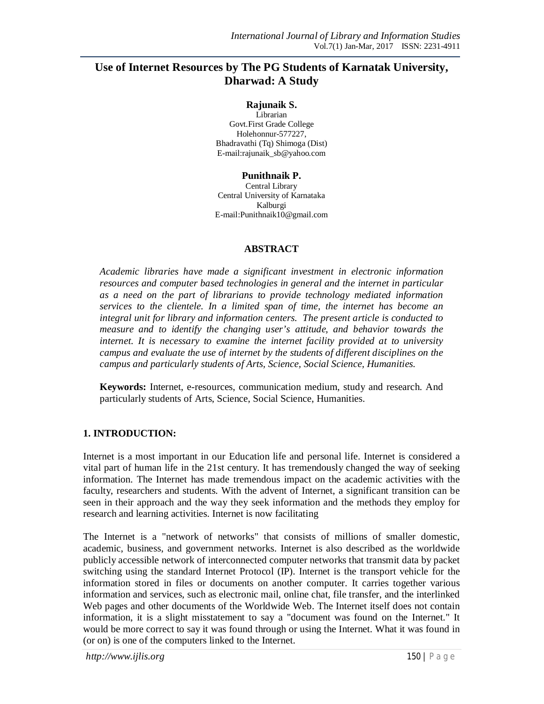# **Use of Internet Resources by The PG Students of Karnatak University, Dharwad: A Study**

#### **Rajunaik S.**

Librarian Govt.First Grade College Holehonnur-577227, Bhadravathi (Tq) Shimoga (Dist) E-mail:rajunaik\_sb@yahoo.com

#### **Punithnaik P.**

Central Library Central University of Karnataka Kalburgi E-mail:Punithnaik10@gmail.com

#### **ABSTRACT**

*Academic libraries have made a significant investment in electronic information resources and computer based technologies in general and the internet in particular as a need on the part of librarians to provide technology mediated information services to the clientele. In a limited span of time, the internet has become an integral unit for library and information centers. The present article is conducted to measure and to identify the changing user's attitude, and behavior towards the internet. It is necessary to examine the internet facility provided at to university campus and evaluate the use of internet by the students of different disciplines on the campus and particularly students of Arts, Science, Social Science, Humanities.*

**Keywords:** Internet, e-resources, communication medium, study and research. And particularly students of Arts, Science, Social Science, Humanities.

### **1. INTRODUCTION:**

Internet is a most important in our Education life and personal life. Internet is considered a vital part of human life in the 21st century. It has tremendously changed the way of seeking information. The Internet has made tremendous impact on the academic activities with the faculty, researchers and students. With the advent of Internet, a significant transition can be seen in their approach and the way they seek information and the methods they employ for research and learning activities. Internet is now facilitating

The Internet is a "network of networks" that consists of millions of smaller domestic, academic, business, and government networks. Internet is also described as the worldwide publicly accessible network of interconnected computer networks that transmit data by packet switching using the standard Internet Protocol (IP). Internet is the transport vehicle for the information stored in files or documents on another computer. It carries together various information and services, such as electronic mail, online chat, file transfer, and the interlinked Web pages and other documents of the Worldwide Web. The Internet itself does not contain information, it is a slight misstatement to say a "document was found on the Internet." It would be more correct to say it was found through or using the Internet. What it was found in (or on) is one of the computers linked to the Internet.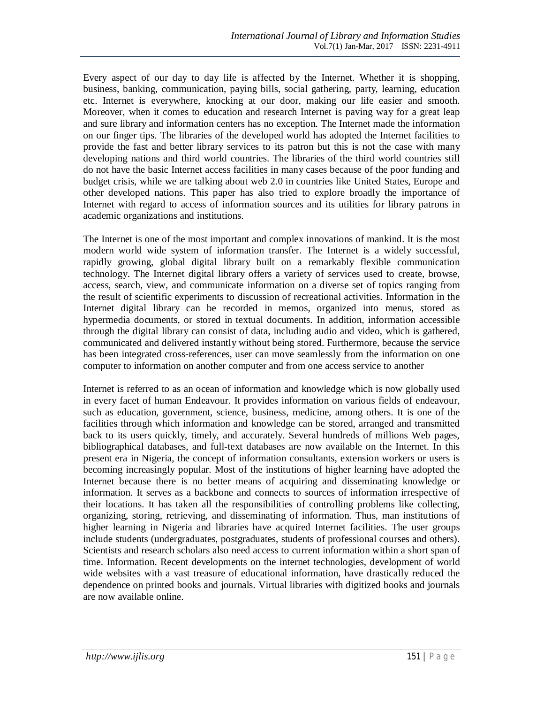Every aspect of our day to day life is affected by the Internet. Whether it is shopping, business, banking, communication, paying bills, social gathering, party, learning, education etc. Internet is everywhere, knocking at our door, making our life easier and smooth. Moreover, when it comes to education and research Internet is paving way for a great leap and sure library and information centers has no exception. The Internet made the information on our finger tips. The libraries of the developed world has adopted the Internet facilities to provide the fast and better library services to its patron but this is not the case with many developing nations and third world countries. The libraries of the third world countries still do not have the basic Internet access facilities in many cases because of the poor funding and budget crisis, while we are talking about web 2.0 in countries like United States, Europe and other developed nations. This paper has also tried to explore broadly the importance of Internet with regard to access of information sources and its utilities for library patrons in academic organizations and institutions.

The Internet is one of the most important and complex innovations of mankind. It is the most modern world wide system of information transfer. The Internet is a widely successful, rapidly growing, global digital library built on a remarkably flexible communication technology. The Internet digital library offers a variety of services used to create, browse, access, search, view, and communicate information on a diverse set of topics ranging from the result of scientific experiments to discussion of recreational activities. Information in the Internet digital library can be recorded in memos, organized into menus, stored as hypermedia documents, or stored in textual documents. In addition, information accessible through the digital library can consist of data, including audio and video, which is gathered, communicated and delivered instantly without being stored. Furthermore, because the service has been integrated cross-references, user can move seamlessly from the information on one computer to information on another computer and from one access service to another

Internet is referred to as an ocean of information and knowledge which is now globally used in every facet of human Endeavour. It provides information on various fields of endeavour, such as education, government, science, business, medicine, among others. It is one of the facilities through which information and knowledge can be stored, arranged and transmitted back to its users quickly, timely, and accurately. Several hundreds of millions Web pages, bibliographical databases, and full-text databases are now available on the Internet. In this present era in Nigeria, the concept of information consultants, extension workers or users is becoming increasingly popular. Most of the institutions of higher learning have adopted the Internet because there is no better means of acquiring and disseminating knowledge or information. It serves as a backbone and connects to sources of information irrespective of their locations. It has taken all the responsibilities of controlling problems like collecting, organizing, storing, retrieving, and disseminating of information. Thus, man institutions of higher learning in Nigeria and libraries have acquired Internet facilities. The user groups include students (undergraduates, postgraduates, students of professional courses and others). Scientists and research scholars also need access to current information within a short span of time. Information. Recent developments on the internet technologies, development of world wide websites with a vast treasure of educational information, have drastically reduced the dependence on printed books and journals. Virtual libraries with digitized books and journals are now available online.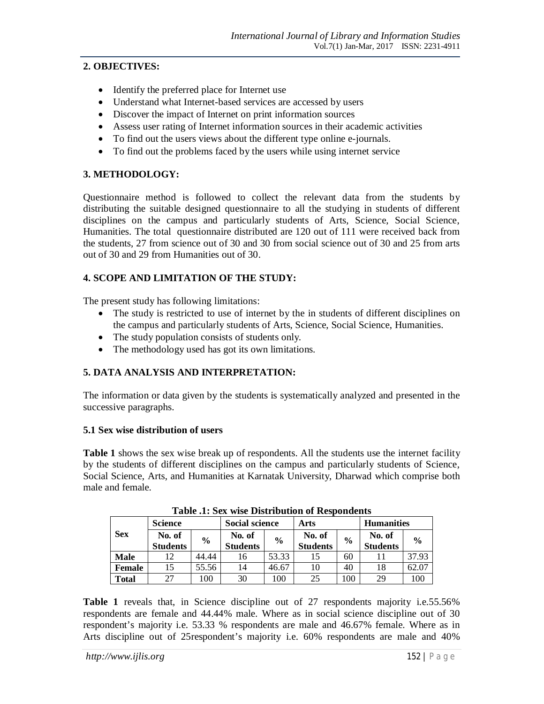## **2. OBJECTIVES:**

- Identify the preferred place for Internet use
- Understand what Internet-based services are accessed by users
- Discover the impact of Internet on print information sources
- Assess user rating of Internet information sources in their academic activities
- To find out the users views about the different type online e-journals.
- To find out the problems faced by the users while using internet service

## **3. METHODOLOGY:**

Questionnaire method is followed to collect the relevant data from the students by distributing the suitable designed questionnaire to all the studying in students of different disciplines on the campus and particularly students of Arts, Science, Social Science, Humanities. The total questionnaire distributed are 120 out of 111 were received back from the students, 27 from science out of 30 and 30 from social science out of 30 and 25 from arts out of 30 and 29 from Humanities out of 30.

# **4. SCOPE AND LIMITATION OF THE STUDY:**

The present study has following limitations:

- The study is restricted to use of internet by the in students of different disciplines on the campus and particularly students of Arts, Science, Social Science, Humanities.
- The study population consists of students only.
- The methodology used has got its own limitations.

# **5. DATA ANALYSIS AND INTERPRETATION:**

The information or data given by the students is systematically analyzed and presented in the successive paragraphs.

### **5.1 Sex wise distribution of users**

**Table 1** shows the sex wise break up of respondents. All the students use the internet facility by the students of different disciplines on the campus and particularly students of Science, Social Science, Arts, and Humanities at Karnatak University, Dharwad which comprise both male and female.

|               | <b>Science</b>            |               |                           | <b>Social science</b> | Arts                      |               | <b>Humanities</b>         |               |  |
|---------------|---------------------------|---------------|---------------------------|-----------------------|---------------------------|---------------|---------------------------|---------------|--|
| <b>Sex</b>    | No. of<br><b>Students</b> | $\frac{6}{9}$ | No. of<br><b>Students</b> | $\frac{6}{9}$         | No. of<br><b>Students</b> | $\frac{0}{0}$ | No. of<br><b>Students</b> | $\frac{0}{0}$ |  |
| <b>Male</b>   | 12                        | 44.44         | 16                        | 53.33                 | 15                        | 60            |                           | 37.93         |  |
| <b>Female</b> | 15                        | 55.56         | 14                        | 46.67                 | 10                        | 40            | 18                        | 62.07         |  |
| <b>T</b> otal | 27                        | 100           | 30                        | 100                   | 25                        | 100           | 29                        | 100           |  |

|  |  | <b>Table .1: Sex wise Distribution of Respondents</b> |  |
|--|--|-------------------------------------------------------|--|
|--|--|-------------------------------------------------------|--|

**Table 1** reveals that, in Science discipline out of 27 respondents majority i.e.55.56% respondents are female and 44.44% male. Where as in social science discipline out of 30 respondent's majority i.e. 53.33 % respondents are male and 46.67% female. Where as in Arts discipline out of 25respondent's majority i.e. 60% respondents are male and 40%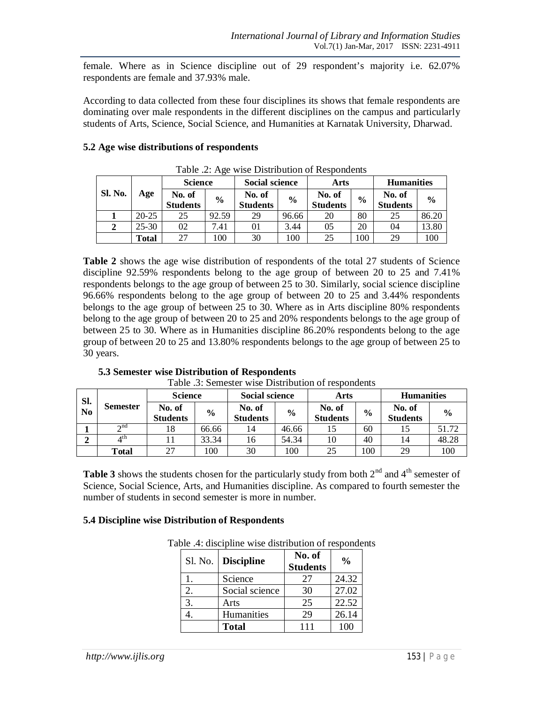female. Where as in Science discipline out of 29 respondent's majority i.e. 62.07% respondents are female and 37.93% male.

According to data collected from these four disciplines its shows that female respondents are dominating over male respondents in the different disciplines on the campus and particularly students of Arts, Science, Social Science, and Humanities at Karnatak University, Dharwad.

|                | Table .2: Age wise Distribution of Respondents |                           |               |                           |               |                           |               |                           |               |  |  |
|----------------|------------------------------------------------|---------------------------|---------------|---------------------------|---------------|---------------------------|---------------|---------------------------|---------------|--|--|
|                |                                                | <b>Science</b>            |               | <b>Social science</b>     |               | Arts                      |               | <b>Humanities</b>         |               |  |  |
| <b>Sl. No.</b> | Age                                            | No. of<br><b>Students</b> | $\frac{0}{0}$ | No. of<br><b>Students</b> | $\frac{0}{0}$ | No. of<br><b>Students</b> | $\frac{6}{9}$ | No. of<br><b>Students</b> | $\frac{0}{0}$ |  |  |
|                | $20 - 25$                                      | 25                        | 92.59         | 29                        | 96.66         | 20                        | 80            | 25                        | 86.20         |  |  |
| $\mathbf{2}$   | $25 - 30$                                      | 02                        | 7.41          | 01                        | 3.44          | 05                        | 20            | 04                        | 13.80         |  |  |
|                | <b>Total</b>                                   | 27                        | 100           | 30                        | 100           | 25                        | 100           | 29                        | 100           |  |  |

## **5.2 Age wise distributions of respondents**

**Table 2** shows the age wise distribution of respondents of the total 27 students of Science discipline 92.59% respondents belong to the age group of between 20 to 25 and 7.41% respondents belongs to the age group of between 25 to 30. Similarly, social science discipline 96.66% respondents belong to the age group of between 20 to 25 and 3.44% respondents belongs to the age group of between 25 to 30. Where as in Arts discipline 80% respondents belong to the age group of between 20 to 25 and 20% respondents belongs to the age group of between 25 to 30. Where as in Humanities discipline 86.20% respondents belong to the age group of between 20 to 25 and 13.80% respondents belongs to the age group of between 25 to 30 years.

**5.3 Semester wise Distribution of Respondents**

| Sl.<br>No | <b>Semester</b>         | <b>Science</b>            |               | <b>Social science</b>     |               | Arts                      |               | <b>Humanities</b>         |               |
|-----------|-------------------------|---------------------------|---------------|---------------------------|---------------|---------------------------|---------------|---------------------------|---------------|
|           |                         | No. of<br><b>Students</b> | $\frac{6}{6}$ | No. of<br><b>Students</b> | $\frac{6}{9}$ | No. of<br><b>Students</b> | $\frac{6}{9}$ | No. of<br><b>Students</b> | $\frac{0}{0}$ |
|           | $\lambda$ nd            | 18                        | 66.66         | 14                        | 46.66         |                           | 60            |                           | 51.72         |
|           | $\varDelta^{\text{th}}$ |                           | 33.34         | 16                        | 54.34         | 10                        | 40            | 14                        | 48.28         |
|           | <b>T</b> otal           | 27                        | 100           | 30                        | 100           | 25                        | 100           | 29                        | 100           |

Table .3: Semester wise Distribution of respondents

Table 3 shows the students chosen for the particularly study from both 2<sup>nd</sup> and 4<sup>th</sup> semester of Science, Social Science, Arts, and Humanities discipline. As compared to fourth semester the number of students in second semester is more in number.

### **5.4 Discipline wise Distribution of Respondents**

|    | Sl. No.   Discipline | No. of<br><b>Students</b> | $\frac{0}{0}$ |
|----|----------------------|---------------------------|---------------|
|    | Science              | 27                        | 24.32         |
|    | Social science       | 30                        | 27.02         |
| 3. | Arts                 | 25                        | 22.52         |
|    | Humanities           | 29                        | 26.14         |
|    | <b>Total</b>         | 111                       | 100           |

Table .4: discipline wise distribution of respondents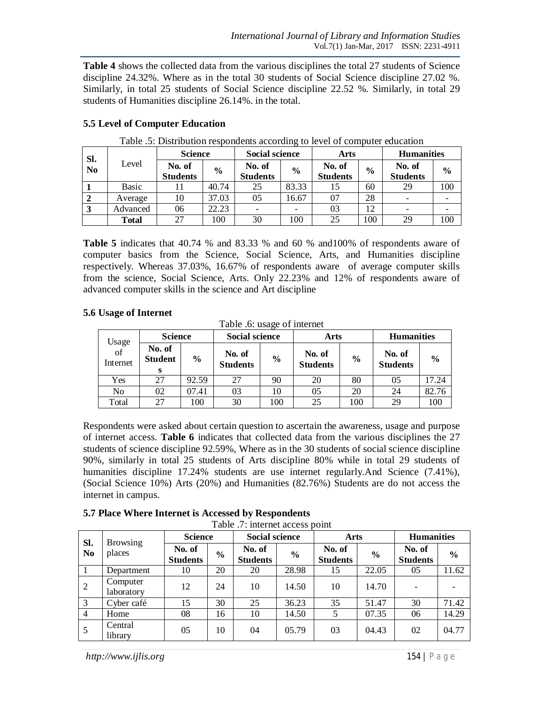**Table 4** shows the collected data from the various disciplines the total 27 students of Science discipline 24.32%. Where as in the total 30 students of Social Science discipline 27.02 %. Similarly, in total 25 students of Social Science discipline 22.52 %. Similarly, in total 29 students of Humanities discipline 26.14%. in the total.

| Sl.            |              | <b>Science</b>            |               |                           | <b>Social science</b> |                           | Arts          |                           | <b>Humanities</b> |  |
|----------------|--------------|---------------------------|---------------|---------------------------|-----------------------|---------------------------|---------------|---------------------------|-------------------|--|
| N <sub>0</sub> | Level        | No. of<br><b>Students</b> | $\frac{0}{0}$ | No. of<br><b>Students</b> | $\frac{6}{6}$         | No. of<br><b>Students</b> | $\frac{6}{6}$ | No. of<br><b>Students</b> | $\frac{6}{9}$     |  |
|                | Basic        |                           | 40.74         | 25                        | 83.33                 | 15                        | 60            | 29                        | 100               |  |
|                | Average      | 10                        | 37.03         | 05                        | 16.67                 | 07                        | 28            |                           |                   |  |
| 3              | Advanced     | 06                        | 22.23         |                           |                       | 03                        | 12            |                           |                   |  |
|                | <b>Total</b> | 27                        | 100           | 30                        | 100                   | 25                        | 100           | 29                        | 100               |  |

### **5.5 Level of Computer Education**

**Table 5** indicates that 40.74 % and 83.33 % and 60 % and100% of respondents aware of computer basics from the Science, Social Science, Arts, and Humanities discipline respectively. Whereas 37.03%, 16.67% of respondents aware of average computer skills from the science, Social Science, Arts. Only 22.23% and 12% of respondents aware of advanced computer skills in the science and Art discipline

### **5.6 Usage of Internet**

|                         | Table .6: usage of internet   |               |                           |               |                           |               |                           |               |  |  |  |
|-------------------------|-------------------------------|---------------|---------------------------|---------------|---------------------------|---------------|---------------------------|---------------|--|--|--|
|                         | <b>Science</b>                |               | <b>Social science</b>     |               | Arts                      |               | <b>Humanities</b>         |               |  |  |  |
| Usage<br>of<br>Internet | No. of<br><b>Student</b><br>s | $\frac{6}{9}$ | No. of<br><b>Students</b> | $\frac{6}{9}$ | No. of<br><b>Students</b> | $\frac{6}{9}$ | No. of<br><b>Students</b> | $\frac{0}{0}$ |  |  |  |
| Yes                     | 27                            | 92.59         | 27                        | 90            | 20                        | 80            | 05                        | 17.24         |  |  |  |
| No                      | 02                            | 07.41         | 03                        | 10            | 05                        | 20            | 24                        | 82.76         |  |  |  |
| Total                   | 27                            | 100           | 30                        | 100           | 25                        | 100           | 29                        | 100           |  |  |  |

Respondents were asked about certain question to ascertain the awareness, usage and purpose of internet access. **Table 6** indicates that collected data from the various disciplines the 27 students of science discipline 92.59%, Where as in the 30 students of social science discipline 90%, similarly in total 25 students of Arts discipline 80% while in total 29 students of humanities discipline 17.24% students are use internet regularly.And Science (7.41%), (Social Science 10%) Arts (20%) and Humanities (82.76%) Students are do not access the internet in campus.

**5.7 Place Where Internet is Accessed by Respondents**

|                | Table .7: internet access point |                           |               |                           |               |                           |               |                           |               |  |  |
|----------------|---------------------------------|---------------------------|---------------|---------------------------|---------------|---------------------------|---------------|---------------------------|---------------|--|--|
| Sl.            | <b>Browsing</b>                 | <b>Science</b>            |               | <b>Social science</b>     |               | Arts                      |               | <b>Humanities</b>         |               |  |  |
| N <sub>0</sub> | places                          | No. of<br><b>Students</b> | $\frac{6}{6}$ | No. of<br><b>Students</b> | $\frac{6}{6}$ | No. of<br><b>Students</b> | $\frac{0}{0}$ | No. of<br><b>Students</b> | $\frac{6}{9}$ |  |  |
| $\overline{1}$ | Department                      | 10                        | 20            | 20                        | 28.98         | 15                        | 22.05         | 05                        | 11.62         |  |  |
| $\overline{2}$ | Computer<br>laboratory          | 12                        | 24            | 10                        | 14.50         | 10                        | 14.70         | $\overline{\phantom{a}}$  |               |  |  |
| 3              | Cyber café                      | 15                        | 30            | 25                        | 36.23         | 35                        | 51.47         | 30                        | 71.42         |  |  |
| $\overline{4}$ | Home                            | 08                        | 16            | 10                        | 14.50         | 5                         | 07.35         | 06                        | 14.29         |  |  |
| 5              | Central<br>library              | 05                        | 10            | 04                        | 05.79         | 03                        | 04.43         | 02                        | 04.77         |  |  |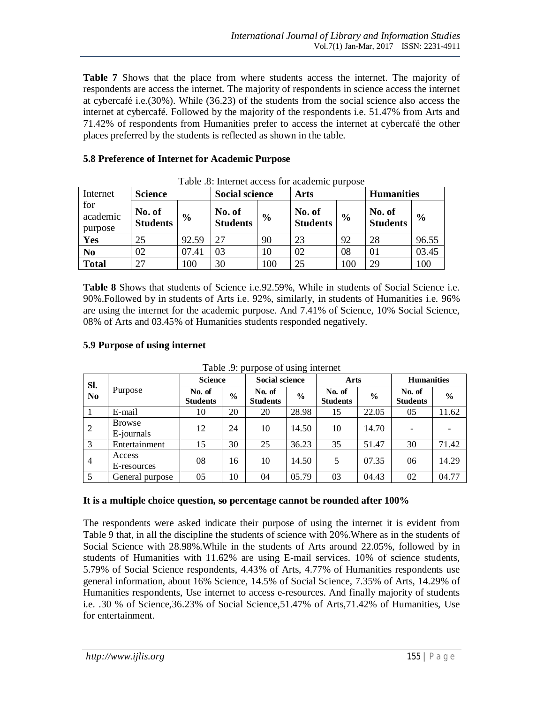**Table 7** Shows that the place from where students access the internet. The majority of respondents are access the internet. The majority of respondents in science access the internet at cybercafé i.e.(30%). While (36.23) of the students from the social science also access the internet at cybercafé. Followed by the majority of the respondents i.e. 51.47% from Arts and 71.42% of respondents from Humanities prefer to access the internet at cybercafé the other places preferred by the students is reflected as shown in the table.

## **5.8 Preference of Internet for Academic Purpose**

| Tuote ioi miteritet ueeess tor ueuuemine purpose |                                            |       |                           |               |                                            |     |                           |               |  |  |
|--------------------------------------------------|--------------------------------------------|-------|---------------------------|---------------|--------------------------------------------|-----|---------------------------|---------------|--|--|
| Internet                                         | <b>Science</b>                             |       | <b>Social science</b>     |               | Arts                                       |     | <b>Humanities</b>         |               |  |  |
| for<br>academic<br>purpose                       | No. of<br>$\frac{0}{0}$<br><b>Students</b> |       | No. of<br><b>Students</b> | $\frac{6}{6}$ | No. of<br>$\frac{6}{6}$<br><b>Students</b> |     | No. of<br><b>Students</b> | $\frac{6}{9}$ |  |  |
| Yes                                              | 25                                         | 92.59 | 27                        | 90            | 23                                         | 92  | 28                        | 96.55         |  |  |
| N <sub>o</sub>                                   | 02                                         | 07.41 | 03                        | 10            | 02                                         | 08  | 01                        | 03.45         |  |  |
| <b>Total</b>                                     | 27                                         | 100   | 30                        | 100           | 25                                         | 100 | 29                        | 100           |  |  |

Table .8: Internet access for academic purpose

**Table 8** Shows that students of Science i.e.92.59%, While in students of Social Science i.e. 90%.Followed by in students of Arts i.e. 92%, similarly, in students of Humanities i.e. 96% are using the internet for the academic purpose. And 7.41% of Science, 10% Social Science, 08% of Arts and 03.45% of Humanities students responded negatively.

### **5.9 Purpose of using internet**

| Table .9: purpose of using internet |
|-------------------------------------|
|-------------------------------------|

| Sl.            |                             | <b>Science</b>            |               | <b>Social science</b>     |       | Arts                      |               | <b>Humanities</b>         |               |
|----------------|-----------------------------|---------------------------|---------------|---------------------------|-------|---------------------------|---------------|---------------------------|---------------|
| N <sub>0</sub> | Purpose                     | No. of<br><b>Students</b> | $\frac{0}{0}$ | No. of<br><b>Students</b> | $\%$  | No. of<br><b>Students</b> | $\frac{6}{9}$ | No. of<br><b>Students</b> | $\frac{6}{9}$ |
|                | E-mail                      | 10                        | 20            | 20                        | 28.98 | 15                        | 22.05         | 05                        | 11.62         |
| 2              | <b>Browse</b><br>E-journals | 12                        | 24            | 10                        | 14.50 | 10                        | 14.70         |                           |               |
| 3              | Entertainment               | 15                        | 30            | 25                        | 36.23 | 35                        | 51.47         | 30                        | 71.42         |
| $\overline{4}$ | Access<br>E-resources       | 08                        | 16            | 10                        | 14.50 | 5                         | 07.35         | 06                        | 14.29         |
| 5              | General purpose             | 05                        | 10            | 04                        | 05.79 | 03                        | 04.43         | 02                        | 04.77         |

#### **It is a multiple choice question, so percentage cannot be rounded after 100%**

The respondents were asked indicate their purpose of using the internet it is evident from Table 9 that, in all the discipline the students of science with 20%.Where as in the students of Social Science with 28.98%.While in the students of Arts around 22.05%, followed by in students of Humanities with 11.62% are using E-mail services. 10% of science students, 5.79% of Social Science respondents, 4.43% of Arts, 4.77% of Humanities respondents use general information, about 16% Science, 14.5% of Social Science, 7.35% of Arts, 14.29% of Humanities respondents, Use internet to access e-resources. And finally majority of students i.e. .30 % of Science,36.23% of Social Science,51.47% of Arts,71.42% of Humanities, Use for entertainment.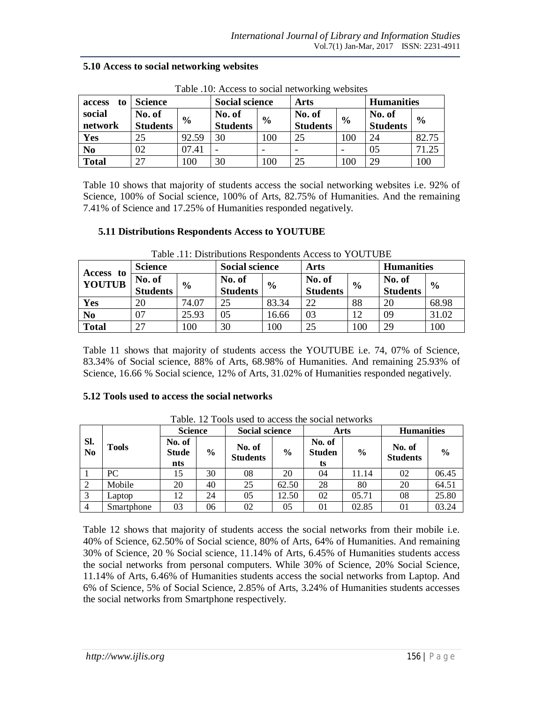| Table .10: Access to social networking websites |                 |               |                       |               |                 |               |                   |               |  |  |  |
|-------------------------------------------------|-----------------|---------------|-----------------------|---------------|-----------------|---------------|-------------------|---------------|--|--|--|
| access<br>to                                    | <b>Science</b>  |               | <b>Social science</b> |               | Arts            |               | <b>Humanities</b> |               |  |  |  |
| social                                          | No. of          | $\frac{6}{6}$ | No. of                | $\frac{6}{6}$ | No. of          |               | No. of            |               |  |  |  |
| network                                         | <b>Students</b> |               | <b>Students</b>       |               | <b>Students</b> | $\frac{6}{6}$ | <b>Students</b>   | $\frac{6}{9}$ |  |  |  |
| Yes                                             | 25              | 92.59         | 30                    | 100           | 25              | 100           | 24                | 82.75         |  |  |  |
| N <sub>o</sub>                                  | 02              | 07.41         |                       |               |                 |               | 05                | 71.25         |  |  |  |
| <b>Total</b>                                    | 27              | 100           | 30                    | 100           | 25              | 100           | 29                | 100           |  |  |  |

#### **5.10 Access to social networking websites**

Table 10 shows that majority of students access the social networking websites i.e. 92% of Science, 100% of Social science, 100% of Arts, 82.75% of Humanities. And the remaining 7.41% of Science and 17.25% of Humanities responded negatively.

#### **5.11 Distributions Respondents Access to YOUTUBE**

| <b>Access</b><br>to<br><b>YOUTUB</b> | <b>Science</b>  |               | <b>Social science</b> |               | Arts            |               | <b>Humanities</b> |               |  |
|--------------------------------------|-----------------|---------------|-----------------------|---------------|-----------------|---------------|-------------------|---------------|--|
|                                      | No. of          | $\frac{0}{0}$ | No. of                | $\frac{6}{6}$ | No. of          | $\frac{6}{9}$ | No. of            | $\frac{6}{6}$ |  |
|                                      | <b>Students</b> |               | <b>Students</b>       |               | <b>Students</b> |               | <b>Students</b>   |               |  |
| Yes                                  | 20              | 74.07         | 25                    | 83.34         | 22              | 88            | 20                | 68.98         |  |
| No                                   |                 | 25.93         | 05                    | 16.66         | 03              | 12            | 09                | 31.02         |  |
| <b>Total</b>                         | 27              | 100           | 30                    | 100           | 25              | 100           | 29                | 100           |  |

Table .11: Distributions Respondents Access to YOUTUBE

Table 11 shows that majority of students access the YOUTUBE i.e. 74, 07% of Science, 83.34% of Social science, 88% of Arts, 68.98% of Humanities. And remaining 25.93% of Science, 16.66 % Social science, 12% of Arts, 31.02% of Humanities responded negatively.

### **5.12 Tools used to access the social networks**

|                       |              | <b>Science</b>                |                | <b>Social science</b>     |               | Tuble. To Tools asculto access the social het works<br>Arts |               | <b>Humanities</b>         |               |
|-----------------------|--------------|-------------------------------|----------------|---------------------------|---------------|-------------------------------------------------------------|---------------|---------------------------|---------------|
| Sl.<br>N <sub>0</sub> | <b>Tools</b> | No. of<br><b>Stude</b><br>nts | $\frac{6}{10}$ | No. of<br><b>Students</b> | $\frac{6}{9}$ | No. of<br><b>Studen</b><br>ts                               | $\frac{6}{9}$ | No. of<br><b>Students</b> | $\frac{6}{9}$ |
|                       | PC.          | 15                            | 30             | 08                        | 20            | 04                                                          | 11.14         | 02                        | 06.45         |
| 2                     | Mobile       | 20                            | 40             | 25                        | 62.50         | 28                                                          | 80            | 20                        | 64.51         |
| $\overline{3}$        | Laptop       | 12                            | 24             | 05                        | 12.50         | 02                                                          | 05.71         | 08                        | 25.80         |
| $\overline{4}$        | Smartphone   | 03                            | 06             | 02                        | 05            | 01                                                          | 02.85         | 01                        | 03.24         |

Table. 12 Tools used to access the social networks

Table 12 shows that majority of students access the social networks from their mobile i.e. 40% of Science, 62.50% of Social science, 80% of Arts, 64% of Humanities. And remaining 30% of Science, 20 % Social science, 11.14% of Arts, 6.45% of Humanities students access the social networks from personal computers. While 30% of Science, 20% Social Science, 11.14% of Arts, 6.46% of Humanities students access the social networks from Laptop. And 6% of Science, 5% of Social Science, 2.85% of Arts, 3.24% of Humanities students accesses the social networks from Smartphone respectively.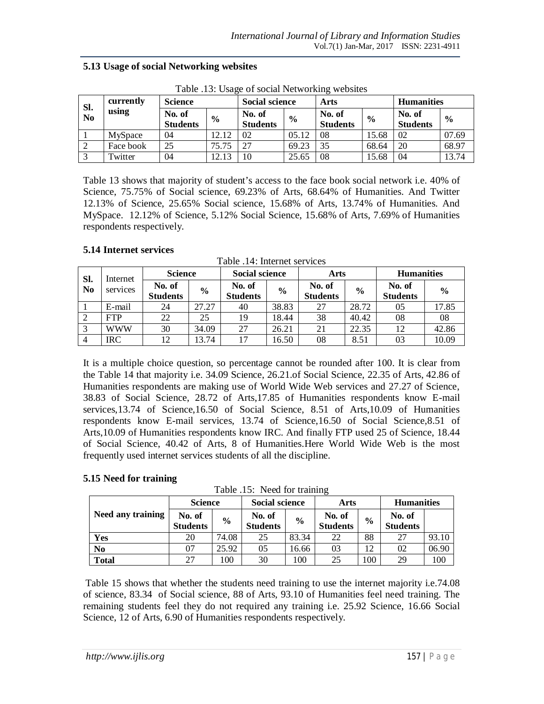| Table .13: Usage of social Networking websites |                    |                           |               |                           |               |                           |               |                           |               |  |
|------------------------------------------------|--------------------|---------------------------|---------------|---------------------------|---------------|---------------------------|---------------|---------------------------|---------------|--|
| Sl.<br>$\overline{\text{No}}$                  | currently<br>using | <b>Science</b>            |               | <b>Social science</b>     |               | Arts                      |               | <b>Humanities</b>         |               |  |
|                                                |                    | No. of<br><b>Students</b> | $\frac{6}{9}$ | No. of<br><b>Students</b> | $\frac{0}{0}$ | No. of<br><b>Students</b> | $\frac{0}{0}$ | No. of<br><b>Students</b> | $\frac{6}{9}$ |  |
|                                                | MySpace            | 04                        | 12.12         | 02                        | 05.12         | 08                        | 15.68         | 02                        | 07.69         |  |
|                                                | Face book          | 25                        | 75.75         | 27                        | 69.23         | 35                        | 68.64         | 20                        | 68.97         |  |
|                                                | Twitter            | 04                        | 12.13         | 10                        | 25.65         | 08                        | 15.68         | 04                        | 13.74         |  |

**5.13 Usage of social Networking websites** 

Table 13 shows that majority of student's access to the face book social network i.e. 40% of Science, 75.75% of Social science, 69.23% of Arts, 68.64% of Humanities. And Twitter 12.13% of Science, 25.65% Social science, 15.68% of Arts, 13.74% of Humanities. And MySpace. 12.12% of Science, 5.12% Social Science, 15.68% of Arts, 7.69% of Humanities respondents respectively.

### **5.14 Internet services**

Table .14: Internet services

| Sl.<br>N <sub>0</sub> | Internet<br>services | <b>Science</b>            |               | <b>Social science</b>     |               | Arts                      |               | <b>Humanities</b>         |               |  |
|-----------------------|----------------------|---------------------------|---------------|---------------------------|---------------|---------------------------|---------------|---------------------------|---------------|--|
|                       |                      | No. of<br><b>Students</b> | $\frac{6}{6}$ | No. of<br><b>Students</b> | $\frac{0}{0}$ | No. of<br><b>Students</b> | $\frac{6}{9}$ | No. of<br><b>Students</b> | $\frac{6}{6}$ |  |
|                       | E-mail               | 24                        | 27.27         | 40                        | 38.83         | 27                        | 28.72         | 05                        | 17.85         |  |
| $\overline{2}$        | <b>FTP</b>           | 22                        | 25            | 19                        | 18.44         | 38                        | 40.42         | 08                        | 08            |  |
| -3                    | <b>WWW</b>           | 30                        | 34.09         | 27                        | 26.21         | 21                        | 22.35         | 12                        | 42.86         |  |
| $\overline{4}$        | IRC                  | 12                        | 13.74         | 17                        | 16.50         | 08                        | 8.51          | 03                        | 10.09         |  |

It is a multiple choice question, so percentage cannot be rounded after 100. It is clear from the Table 14 that majority i.e. 34.09 Science, 26.21.of Social Science, 22.35 of Arts, 42.86 of Humanities respondents are making use of World Wide Web services and 27.27 of Science, 38.83 of Social Science, 28.72 of Arts,17.85 of Humanities respondents know E-mail services,13.74 of Science,16.50 of Social Science, 8.51 of Arts,10.09 of Humanities respondents know E-mail services, 13.74 of Science,16.50 of Social Science,8.51 of Arts,10.09 of Humanities respondents know IRC. And finally FTP used 25 of Science, 18.44 of Social Science, 40.42 of Arts, 8 of Humanities.Here World Wide Web is the most frequently used internet services students of all the discipline.

### **5.15 Need for training**

Table .15: Need for training

|                   | <b>Science</b>            |               | <b>Social science</b>     |               | Arts                      |               | <b>Humanities</b>         |       |
|-------------------|---------------------------|---------------|---------------------------|---------------|---------------------------|---------------|---------------------------|-------|
| Need any training | No. of<br><b>Students</b> | $\frac{6}{9}$ | No. of<br><b>Students</b> | $\frac{0}{0}$ | No. of<br><b>Students</b> | $\frac{6}{6}$ | No. of<br><b>Students</b> |       |
| Yes               | 20                        | 74.08         | 25                        | 83.34         | 22                        | 88            | 27                        | 93.10 |
| N <sub>o</sub>    | 07                        | 25.92         | 05                        | 16.66         | 03                        | 12            | 02                        | 06.90 |
| <b>Total</b>      | 27                        | 100           | 30                        | 100           | 25                        | 100           | 29                        | 100   |

Table 15 shows that whether the students need training to use the internet majority i.e.74.08 of science, 83.34 of Social science, 88 of Arts, 93.10 of Humanities feel need training. The remaining students feel they do not required any training i.e. 25.92 Science, 16.66 Social Science, 12 of Arts, 6.90 of Humanities respondents respectively.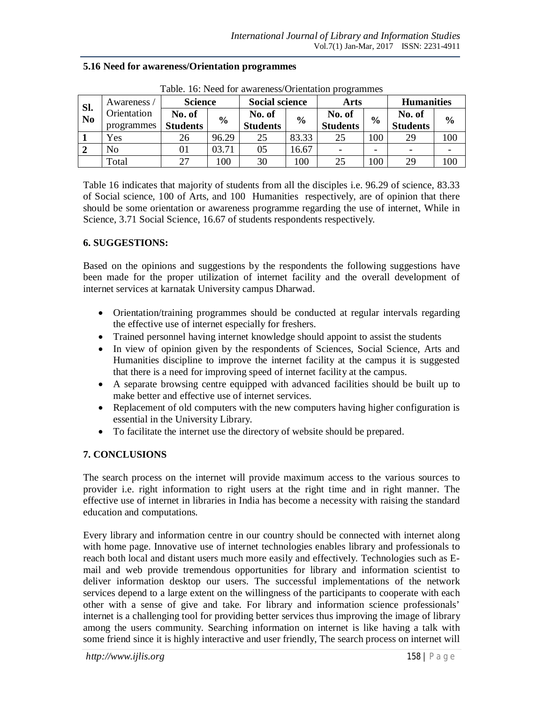| Table. 16: Need for awareness/Orientation programmes |                |                 |               |                       |               |                 |               |                   |               |  |
|------------------------------------------------------|----------------|-----------------|---------------|-----------------------|---------------|-----------------|---------------|-------------------|---------------|--|
| SI.                                                  | Awareness /    | <b>Science</b>  |               | <b>Social science</b> |               | Arts            |               | <b>Humanities</b> |               |  |
| N <sub>o</sub>                                       | Orientation    | No. of          | $\frac{6}{9}$ | No. of                | $\frac{0}{0}$ | No. of          | $\frac{6}{9}$ | No. of            | $\frac{6}{9}$ |  |
|                                                      | programmes     | <b>Students</b> |               | <b>Students</b>       |               | <b>Students</b> |               | <b>Students</b>   |               |  |
|                                                      | Yes            | 26              | 96.29         | 25                    | 83.33         | 25              | 100           | 29                | 100           |  |
|                                                      | N <sub>0</sub> | 01              | 03.71         | 05                    | 16.67         |                 | -             | -                 |               |  |
|                                                      | Total          | 27              | 100           | 30                    | 100           | 25              | 100           | 29                | 100           |  |

**5.16 Need for awareness/Orientation programmes**

Table 16 indicates that majority of students from all the disciples i.e. 96.29 of science, 83.33 of Social science, 100 of Arts, and 100 Humanities respectively, are of opinion that there should be some orientation or awareness programme regarding the use of internet, While in Science, 3.71 Social Science, 16.67 of students respondents respectively.

### **6. SUGGESTIONS:**

Based on the opinions and suggestions by the respondents the following suggestions have been made for the proper utilization of internet facility and the overall development of internet services at karnatak University campus Dharwad.

- Orientation/training programmes should be conducted at regular intervals regarding the effective use of internet especially for freshers.
- Trained personnel having internet knowledge should appoint to assist the students
- In view of opinion given by the respondents of Sciences, Social Science, Arts and Humanities discipline to improve the internet facility at the campus it is suggested that there is a need for improving speed of internet facility at the campus.
- A separate browsing centre equipped with advanced facilities should be built up to make better and effective use of internet services.
- Replacement of old computers with the new computers having higher configuration is essential in the University Library.
- To facilitate the internet use the directory of website should be prepared.

# **7. CONCLUSIONS**

The search process on the internet will provide maximum access to the various sources to provider i.e. right information to right users at the right time and in right manner. The effective use of internet in libraries in India has become a necessity with raising the standard education and computations.

Every library and information centre in our country should be connected with internet along with home page. Innovative use of internet technologies enables library and professionals to reach both local and distant users much more easily and effectively. Technologies such as Email and web provide tremendous opportunities for library and information scientist to deliver information desktop our users. The successful implementations of the network services depend to a large extent on the willingness of the participants to cooperate with each other with a sense of give and take. For library and information science professionals' internet is a challenging tool for providing better services thus improving the image of library among the users community. Searching information on internet is like having a talk with some friend since it is highly interactive and user friendly, The search process on internet will